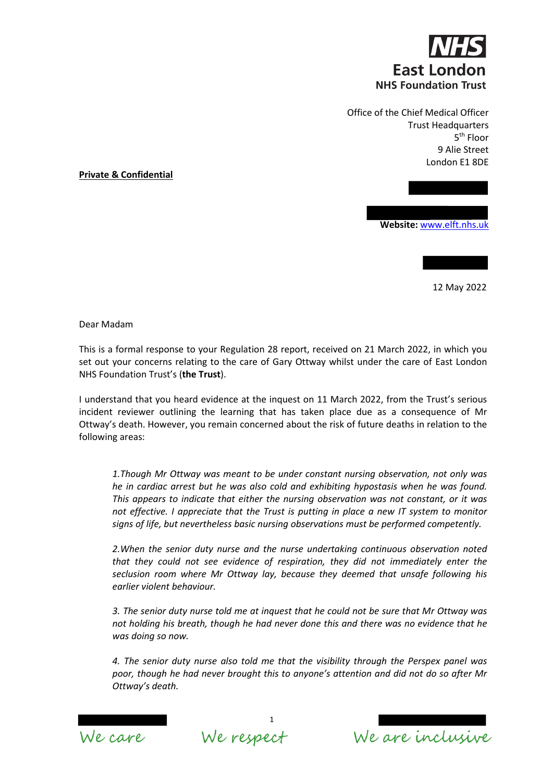

Office of the Chief Medical Officer Trust Headquarters 5th Floor 9 Alie Street London E1 8DE

**Private & Confidential**

**Website:** www.elft.nhs.uk

12 May 2022

Dear Madam

This is a formal response to your Regulation 28 report, received on 21 March 2022, in which you set out your concerns relating to the care of Gary Ottway whilst under the care of East London NHS Foundation Trust's (**the Trust**).

I understand that you heard evidence at the inquest on 11 March 2022, from the Trust's serious incident reviewer outlining the learning that has taken place due as a consequence of Mr Ottway's death. However, you remain concerned about the risk of future deaths in relation to the following areas:

*1.Though Mr Ottway was meant to be under constant nursing observation, not only was he in cardiac arrest but he was also cold and exhibiting hypostasis when he was found. This appears to indicate that either the nursing observation was not constant, or it was not effective. I appreciate that the Trust is putting in place a new IT system to monitor signs of life, but nevertheless basic nursing observations must be performed competently.*

*2.When the senior duty nurse and the nurse undertaking continuous observation noted that they could not see evidence of respiration, they did not immediately enter the seclusion room where Mr Ottway lay, because they deemed that unsafe following his earlier violent behaviour.*

*3. The senior duty nurse told me at inquest that he could not be sure that Mr Ottway was not holding his breath, though he had never done this and there was no evidence that he was doing so now.*

*4. The senior duty nurse also told me that the visibility through the Perspex panel was poor, though he had never brought this to anyone's attention and did not do so after Mr Ottway's death.*



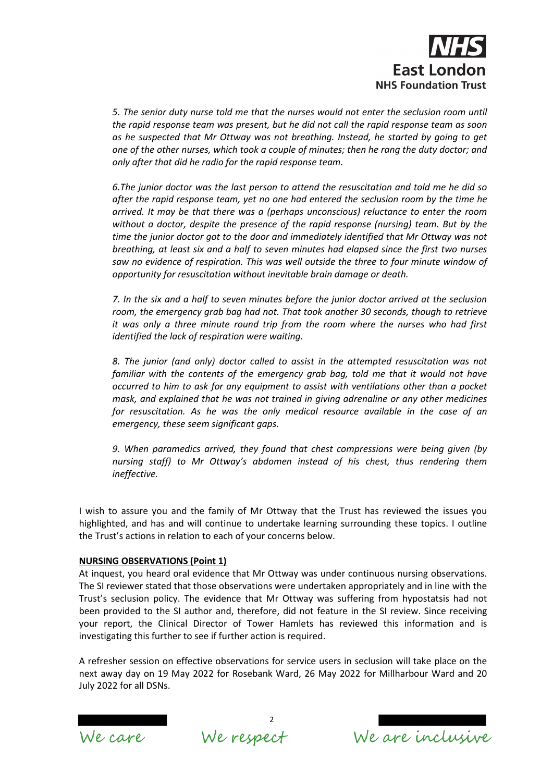

*5. The senior duty nurse told me that the nurses would not enter the seclusion room until the rapid response team was present, but he did not call the rapid response team as soon as he suspected that Mr Ottway was not breathing. Instead, he started by going to get one of the other nurses, which took a couple of minutes; then he rang the duty doctor; and only after that did he radio for the rapid response team.* 

*6.The junior doctor was the last person to attend the resuscitation and told me he did so after the rapid response team, yet no one had entered the seclusion room by the time he arrived. It may be that there was a (perhaps unconscious) reluctance to enter the room without a doctor, despite the presence of the rapid response (nursing) team. But by the time the junior doctor got to the door and immediately identified that Mr Ottway was not breathing, at least six and a half to seven minutes had elapsed since the first two nurses saw no evidence of respiration. This was well outside the three to four minute window of opportunity for resuscitation without inevitable brain damage or death.* 

*7. In the six and a half to seven minutes before the junior doctor arrived at the seclusion room, the emergency grab bag had not. That took another 30 seconds, though to retrieve it was only a three minute round trip from the room where the nurses who had first identified the lack of respiration were waiting.* 

*8. The junior (and only) doctor called to assist in the attempted resuscitation was not familiar with the contents of the emergency grab bag, told me that it would not have occurred to him to ask for any equipment to assist with ventilations other than a pocket mask, and explained that he was not trained in giving adrenaline or any other medicines for resuscitation. As he was the only medical resource available in the case of an emergency, these seem significant gaps.*

*9. When paramedics arrived, they found that chest compressions were being given (by nursing staff) to Mr Ottway's abdomen instead of his chest, thus rendering them ineffective.* 

I wish to assure you and the family of Mr Ottway that the Trust has reviewed the issues you highlighted, and has and will continue to undertake learning surrounding these topics. I outline the Trust's actions in relation to each of your concerns below.

## **NURSING OBSERVATIONS (Point 1)**

At inquest, you heard oral evidence that Mr Ottway was under continuous nursing observations. The SI reviewer stated that those observations were undertaken appropriately and in line with the Trust's seclusion policy. The evidence that Mr Ottway was suffering from hypostatsis had not been provided to the SI author and, therefore, did not feature in the SI review. Since receiving your report, the Clinical Director of Tower Hamlets has reviewed this information and is investigating this further to see if further action is required.

A refresher session on effective observations for service users in seclusion will take place on the next away day on 19 May 2022 for Rosebank Ward, 26 May 2022 for Millharbour Ward and 20 July 2022 for all DSNs.



We are inclusive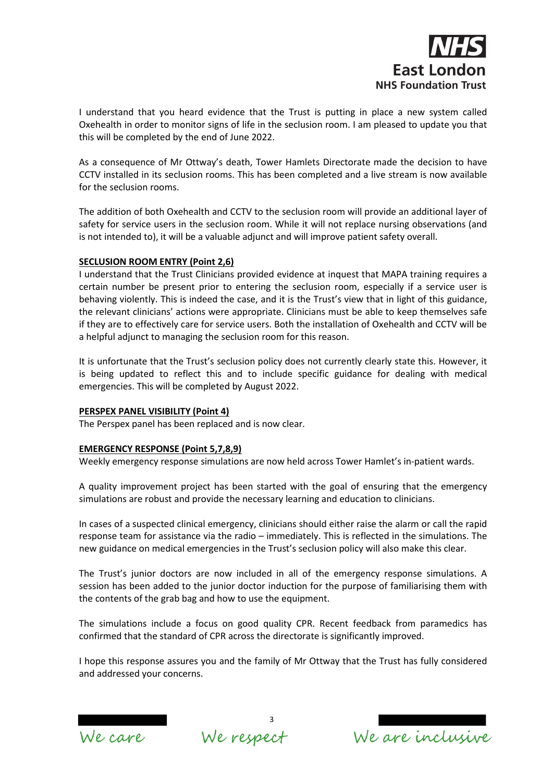

I understand that you heard evidence that the Trust is putting in place a new system called Oxehealth in order to monitor signs of life in the seclusion room. I am pleased to update you that this will be completed by the end of June 2022.

As a consequence of Mr Ottway's death, Tower Hamlets Directorate made the decision to have CCTV installed in its seclusion rooms. This has been completed and a live stream is now available for the seclusion rooms.

The addition of both Oxehealth and CCTV to the seclusion room will provide an additional layer of safety for service users in the seclusion room. While it will not replace nursing observations (and is not intended to), it will be a valuable adjunct and will improve patient safety overall.

## **SECLUSION ROOM ENTRY (Point 2,6)**

I understand that the Trust Clinicians provided evidence at inquest that MAPA training requires a certain number be present prior to entering the seclusion room, especially if a service user is behaving violently. This is indeed the case, and it is the Trust's view that in light of this guidance, the relevant clinicians' actions were appropriate. Clinicians must be able to keep themselves safe if they are to effectively care for service users. Both the installation of Oxehealth and CCTV will be a helpful adjunct to managing the seclusion room for this reason.

It is unfortunate that the Trust's seclusion policy does not currently clearly state this. However, it is being updated to reflect this and to include specific guidance for dealing with medical emergencies. This will be completed by August 2022.

## **PERSPEX PANEL VISIBILITY (Point 4)**

The Perspex panel has been replaced and is now clear.

## **EMERGENCY RESPONSE (Point 5,7,8,9)**

Weekly emergency response simulations are now held across Tower Hamlet's in-patient wards.

A quality improvement project has been started with the goal of ensuring that the emergency simulations are robust and provide the necessary learning and education to clinicians.

In cases of a suspected clinical emergency, clinicians should either raise the alarm or call the rapid response team for assistance via the radio – immediately. This is reflected in the simulations. The new guidance on medical emergencies in the Trust's seclusion policy will also make this clear.

The Trust's junior doctors are now included in all of the emergency response simulations. A session has been added to the junior doctor induction for the purpose of familiarising them with the contents of the grab bag and how to use the equipment.

The simulations include a focus on good quality CPR. Recent feedback from paramedics has confirmed that the standard of CPR across the directorate is significantly improved.

I hope this response assures you and the family of Mr Ottway that the Trust has fully considered and addressed your concerns.